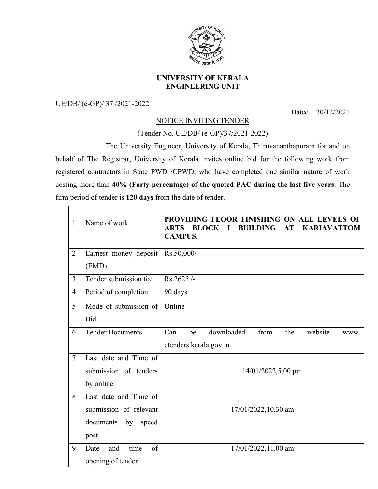

## **UNIVERSITY OF KERALA ENGINEERING UNIT**

UE/DB/ (e-GP)/ 37 /2021-2022

Dated 30/12/2021

## NOTICE INVITING TENDER

(Tender No. UE/DB/ (e-GP)/37/2021-2022)

The University Engineer, University of Kerala, Thiruvananthapuram for and on behalf of The Registrar, University of Kerala invites online bid for the following work from registered contractors in State PWD /CPWD, who have completed one similar nature of work costing more than **40% (Forty percentage) of the quoted PAC during the last five years**. The firm period of tender is **120 days** from the date of tender.

| $\mathbf{1}$   | Name of work                   | PROVIDING FLOOR FINISHING ON ALL LEVELS OF<br><b>ARTS</b><br><b>BLOCK</b><br><b>BUILDING</b><br><b>KARIAVATTOM</b><br>AT<br>$\blacksquare$<br><b>CAMPUS.</b> |  |
|----------------|--------------------------------|--------------------------------------------------------------------------------------------------------------------------------------------------------------|--|
| $\overline{2}$ | Earnest money deposit<br>(EMD) | Rs.50,000/-                                                                                                                                                  |  |
| $\overline{3}$ | Tender submission fee          | Rs.2625/-                                                                                                                                                    |  |
| $\overline{4}$ | Period of completion           | 90 days                                                                                                                                                      |  |
| 5              | Mode of submission of          | Online                                                                                                                                                       |  |
|                | <b>Bid</b>                     |                                                                                                                                                              |  |
| 6              | <b>Tender Documents</b>        | downloaded<br>from<br>website<br>Can<br>be<br>the<br>WWW.                                                                                                    |  |
|                |                                | etenders.kerala.gov.in                                                                                                                                       |  |
| $\overline{7}$ | Last date and Time of          |                                                                                                                                                              |  |
|                | submission of tenders          | 14/01/2022,5.00 pm                                                                                                                                           |  |
|                | by online                      |                                                                                                                                                              |  |
| 8              | Last date and Time of          | 17/01/2022,10.30 am                                                                                                                                          |  |
|                | submission of relevant         |                                                                                                                                                              |  |
|                | documents by speed             |                                                                                                                                                              |  |
|                | post                           |                                                                                                                                                              |  |
| 9              | time<br>of<br>Date<br>and      | 17/01/2022,11.00 am                                                                                                                                          |  |
|                | opening of tender              |                                                                                                                                                              |  |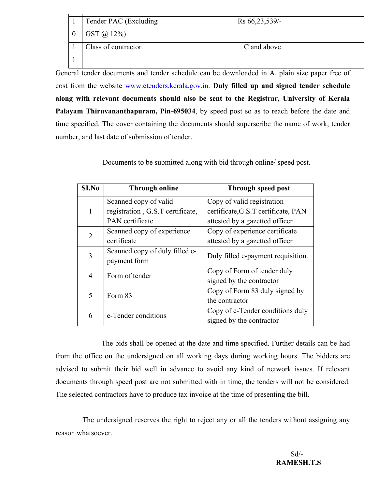| Tender PAC (Excluding | Rs 66, 23, 539/- |
|-----------------------|------------------|
| $GST \omega 12\%)$    |                  |
| Class of contractor   | C and above      |
|                       |                  |

General tender documents and tender schedule can be downloaded in A<sub>4</sub> plain size paper free of cost from the website www.etenders.kerala.gov.in. **Duly filled up and signed tender schedule along with relevant documents should also be sent to the Registrar, University of Kerala Palayam Thiruvananthapuram, Pin-695034**, by speed post so as to reach before the date and time specified. The cover containing the documents should superscribe the name of work, tender number, and last date of submission of tender.

Documents to be submitted along with bid through online/ speed post.

| S <sub>I.No</sub> | <b>Through online</b>            | Through speed post                  |
|-------------------|----------------------------------|-------------------------------------|
|                   | Scanned copy of valid            | Copy of valid registration          |
| 1                 | registration, G.S.T certificate, | certificate, G.S.T certificate, PAN |
|                   | PAN certificate                  | attested by a gazetted officer      |
| 2                 | Scanned copy of experience       | Copy of experience certificate      |
|                   | certificate                      | attested by a gazetted officer      |
| 3                 | Scanned copy of duly filled e-   | Duly filled e-payment requisition.  |
|                   | payment form                     |                                     |
| 4                 | Form of tender                   | Copy of Form of tender duly         |
|                   |                                  | signed by the contractor            |
| 5                 | Form 83                          | Copy of Form 83 duly signed by      |
|                   |                                  | the contractor                      |
| 6                 | e-Tender conditions              | Copy of e-Tender conditions duly    |
|                   |                                  | signed by the contractor            |

The bids shall be opened at the date and time specified. Further details can be had from the office on the undersigned on all working days during working hours. The bidders are advised to submit their bid well in advance to avoid any kind of network issues. If relevant documents through speed post are not submitted with in time, the tenders will not be considered. The selected contractors have to produce tax invoice at the time of presenting the bill.

The undersigned reserves the right to reject any or all the tenders without assigning any reason whatsoever.